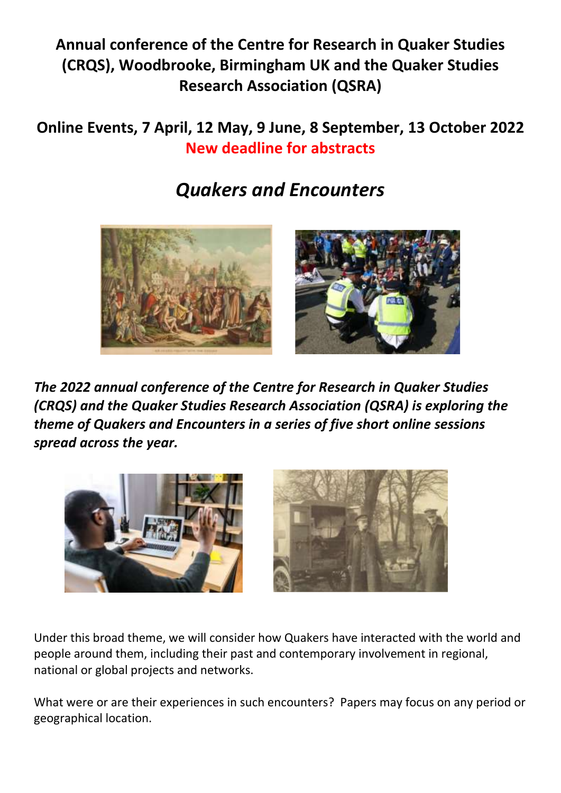**Annual conference of the Centre for Research in Quaker Studies (CRQS), Woodbrooke, Birmingham UK and the Quaker Studies Research Association (QSRA)**

## **Online Events, 7 April, 12 May, 9 June, 8 September, 13 October 2022 New deadline for abstracts**

## *Quakers and Encounters*



*The 2022 annual conference of the Centre for Research in Quaker Studies (CRQS) and the Quaker Studies Research Association (QSRA) is exploring the theme of Quakers and Encounters in a series of five short online sessions spread across the year.*



Under this broad theme, we will consider how Quakers have interacted with the world and people around them, including their past and contemporary involvement in regional, national or global projects and networks.

What were or are their experiences in such encounters? Papers may focus on any period or geographical location.